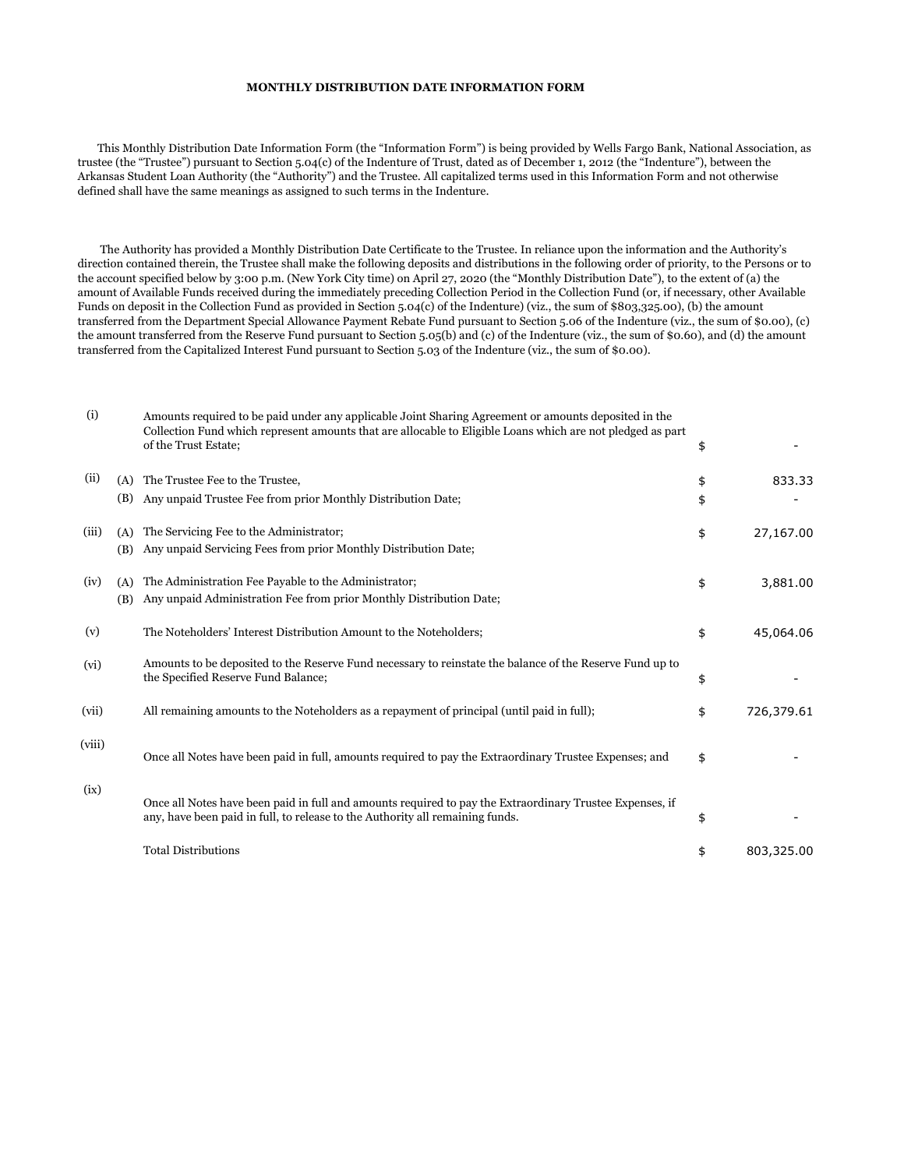## **MONTHLY DISTRIBUTION DATE INFORMATION FORM**

 This Monthly Distribution Date Information Form (the "Information Form") is being provided by Wells Fargo Bank, National Association, as trustee (the "Trustee") pursuant to Section 5.04(c) of the Indenture of Trust, dated as of December 1, 2012 (the "Indenture"), between the Arkansas Student Loan Authority (the "Authority") and the Trustee. All capitalized terms used in this Information Form and not otherwise defined shall have the same meanings as assigned to such terms in the Indenture.

 The Authority has provided a Monthly Distribution Date Certificate to the Trustee. In reliance upon the information and the Authority's direction contained therein, the Trustee shall make the following deposits and distributions in the following order of priority, to the Persons or to the account specified below by 3:00 p.m. (New York City time) on April 27, 2020 (the "Monthly Distribution Date"), to the extent of (a) the amount of Available Funds received during the immediately preceding Collection Period in the Collection Fund (or, if necessary, other Available Funds on deposit in the Collection Fund as provided in Section 5.04(c) of the Indenture) (viz., the sum of \$803,325.00), (b) the amount transferred from the Department Special Allowance Payment Rebate Fund pursuant to Section 5.06 of the Indenture (viz., the sum of \$0.00), (c) the amount transferred from the Reserve Fund pursuant to Section 5.05(b) and (c) of the Indenture (viz., the sum of \$0.60), and (d) the amount transferred from the Capitalized Interest Fund pursuant to Section 5.03 of the Indenture (viz., the sum of \$0.00).

| (i)    |            | Amounts required to be paid under any applicable Joint Sharing Agreement or amounts deposited in the<br>Collection Fund which represent amounts that are allocable to Eligible Loans which are not pledged as part<br>of the Trust Estate; | \$       |            |
|--------|------------|--------------------------------------------------------------------------------------------------------------------------------------------------------------------------------------------------------------------------------------------|----------|------------|
| (ii)   | (A)<br>(B) | The Trustee Fee to the Trustee,<br>Any unpaid Trustee Fee from prior Monthly Distribution Date;                                                                                                                                            | \$<br>\$ | 833.33     |
| (iii)  | (A)<br>(B) | The Servicing Fee to the Administrator;<br>Any unpaid Servicing Fees from prior Monthly Distribution Date;                                                                                                                                 | \$       | 27,167.00  |
| (iv)   | (A)<br>(B) | The Administration Fee Payable to the Administrator;<br>Any unpaid Administration Fee from prior Monthly Distribution Date;                                                                                                                | \$       | 3,881.00   |
| (v)    |            | The Noteholders' Interest Distribution Amount to the Noteholders;                                                                                                                                                                          | \$       | 45,064.06  |
| (vi)   |            | Amounts to be deposited to the Reserve Fund necessary to reinstate the balance of the Reserve Fund up to<br>the Specified Reserve Fund Balance;                                                                                            | \$       |            |
| (vii)  |            | All remaining amounts to the Noteholders as a repayment of principal (until paid in full);                                                                                                                                                 | \$       | 726,379.61 |
| (viii) |            | Once all Notes have been paid in full, amounts required to pay the Extraordinary Trustee Expenses; and                                                                                                                                     | \$       |            |
| (ix)   |            | Once all Notes have been paid in full and amounts required to pay the Extraordinary Trustee Expenses, if<br>any, have been paid in full, to release to the Authority all remaining funds.                                                  | \$       |            |
|        |            | <b>Total Distributions</b>                                                                                                                                                                                                                 | \$       | 803,325.00 |